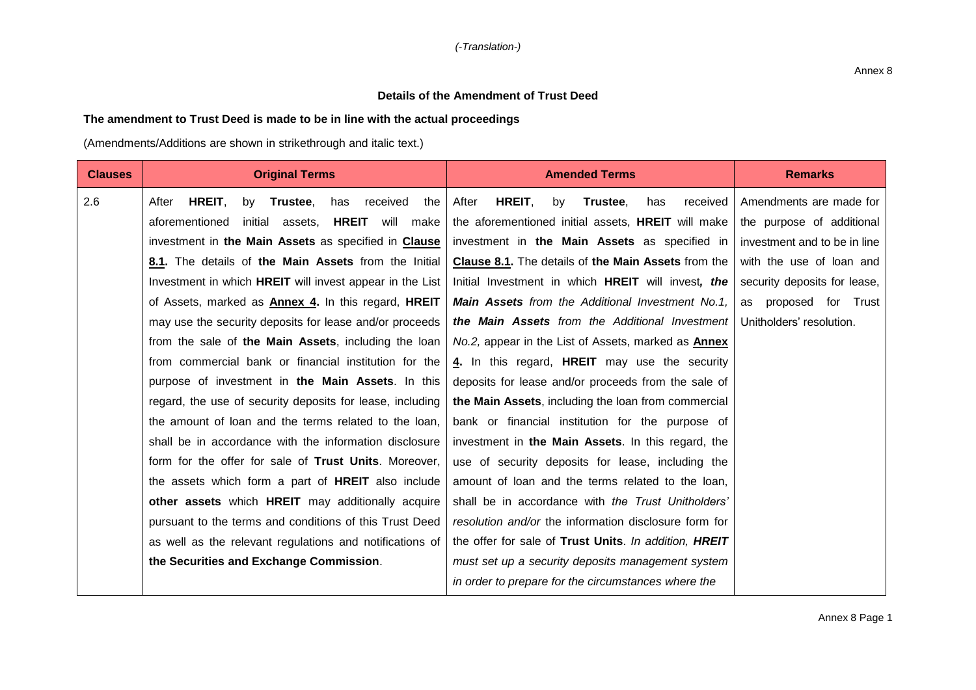## **Details of the Amendment of Trust Deed**

## **The amendment to Trust Deed is made to be in line with the actual proceedings**

(Amendments/Additions are shown in strikethrough and italic text.)

| <b>Clauses</b> | <b>Original Terms</b>                                                | <b>Amended Terms</b>                                       | <b>Remarks</b>               |
|----------------|----------------------------------------------------------------------|------------------------------------------------------------|------------------------------|
| 2.6            | HREIT,<br>Trustee,<br>After<br>by<br>has<br>received<br>the          | HREIT,<br>After<br>by<br>Trustee,<br>has<br>received       | Amendments are made for      |
|                | aforementioned<br><b>HREIT</b><br>initial<br>assets,<br>will<br>make | the aforementioned initial assets, HREIT will make         | the purpose of additional    |
|                | investment in the Main Assets as specified in Clause                 | investment in the Main Assets as specified in              | investment and to be in line |
|                | 8.1. The details of the Main Assets from the Initial                 | Clause 8.1. The details of the Main Assets from the        | with the use of loan and     |
|                | Investment in which <b>HREIT</b> will invest appear in the List      | Initial Investment in which HREIT will invest, the         | security deposits for lease, |
|                | of Assets, marked as <b>Annex 4.</b> In this regard, <b>HREIT</b>    | <b>Main Assets</b> from the Additional Investment No.1,    | as proposed for Trust        |
|                | may use the security deposits for lease and/or proceeds              | the Main Assets from the Additional Investment             | Unitholders' resolution.     |
|                | from the sale of the Main Assets, including the loan                 | No.2, appear in the List of Assets, marked as <b>Annex</b> |                              |
|                | from commercial bank or financial institution for the                | 4. In this regard, HREIT may use the security              |                              |
|                | purpose of investment in the Main Assets. In this                    | deposits for lease and/or proceeds from the sale of        |                              |
|                | regard, the use of security deposits for lease, including            | the Main Assets, including the loan from commercial        |                              |
|                | the amount of loan and the terms related to the loan,                | bank or financial institution for the purpose of           |                              |
|                | shall be in accordance with the information disclosure               | investment in the Main Assets. In this regard, the         |                              |
|                | form for the offer for sale of Trust Units. Moreover,                | use of security deposits for lease, including the          |                              |
|                | the assets which form a part of <b>HREIT</b> also include            | amount of loan and the terms related to the loan,          |                              |
|                | other assets which HREIT may additionally acquire                    | shall be in accordance with the Trust Unitholders'         |                              |
|                | pursuant to the terms and conditions of this Trust Deed              | resolution and/or the information disclosure form for      |                              |
|                | as well as the relevant regulations and notifications of             | the offer for sale of Trust Units. In addition, HREIT      |                              |
|                | the Securities and Exchange Commission.                              | must set up a security deposits management system          |                              |
|                |                                                                      | in order to prepare for the circumstances where the        |                              |

Annex 8 Page 1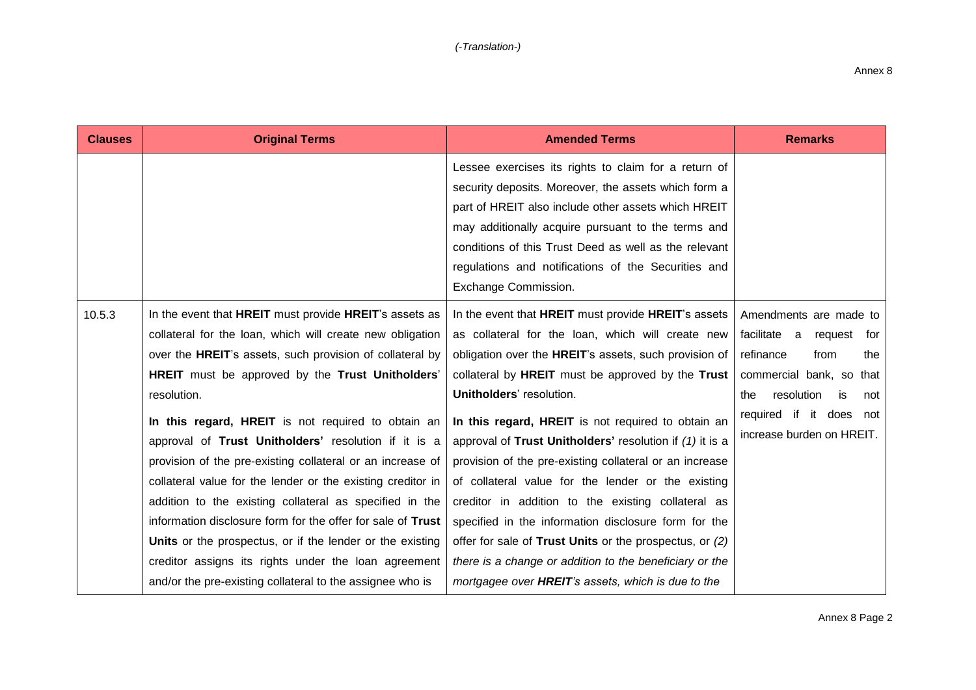| <b>Clauses</b> | <b>Original Terms</b>                                            | <b>Amended Terms</b>                                       | <b>Remarks</b>                 |
|----------------|------------------------------------------------------------------|------------------------------------------------------------|--------------------------------|
|                |                                                                  | Lessee exercises its rights to claim for a return of       |                                |
|                |                                                                  | security deposits. Moreover, the assets which form a       |                                |
|                |                                                                  | part of HREIT also include other assets which HREIT        |                                |
|                |                                                                  | may additionally acquire pursuant to the terms and         |                                |
|                |                                                                  | conditions of this Trust Deed as well as the relevant      |                                |
|                |                                                                  | regulations and notifications of the Securities and        |                                |
|                |                                                                  | Exchange Commission.                                       |                                |
| 10.5.3         | In the event that HREIT must provide HREIT's assets as           | In the event that HREIT must provide HREIT's assets        | Amendments are made to         |
|                | collateral for the loan, which will create new obligation        | as collateral for the loan, which will create new          | facilitate a<br>request for    |
|                | over the <b>HREIT</b> 's assets, such provision of collateral by | obligation over the HREIT's assets, such provision of      | refinance<br>from<br>the       |
|                | HREIT must be approved by the Trust Unitholders'                 | collateral by <b>HREIT</b> must be approved by the Trust   | commercial bank, so that       |
|                | resolution.                                                      | Unitholders' resolution.                                   | resolution<br>is<br>the<br>not |
|                | In this regard, HREIT is not required to obtain an               | In this regard, HREIT is not required to obtain an         | required if<br>it<br>does not  |
|                | approval of Trust Unitholders' resolution if it is a             | approval of Trust Unitholders' resolution if (1) it is a   | increase burden on HREIT.      |
|                | provision of the pre-existing collateral or an increase of       | provision of the pre-existing collateral or an increase    |                                |
|                | collateral value for the lender or the existing creditor in      | of collateral value for the lender or the existing         |                                |
|                | addition to the existing collateral as specified in the          | creditor in addition to the existing collateral as         |                                |
|                | information disclosure form for the offer for sale of Trust      | specified in the information disclosure form for the       |                                |
|                | Units or the prospectus, or if the lender or the existing        | offer for sale of Trust Units or the prospectus, or (2)    |                                |
|                | creditor assigns its rights under the loan agreement             | there is a change or addition to the beneficiary or the    |                                |
|                | and/or the pre-existing collateral to the assignee who is        | mortgagee over <b>HREIT</b> 's assets, which is due to the |                                |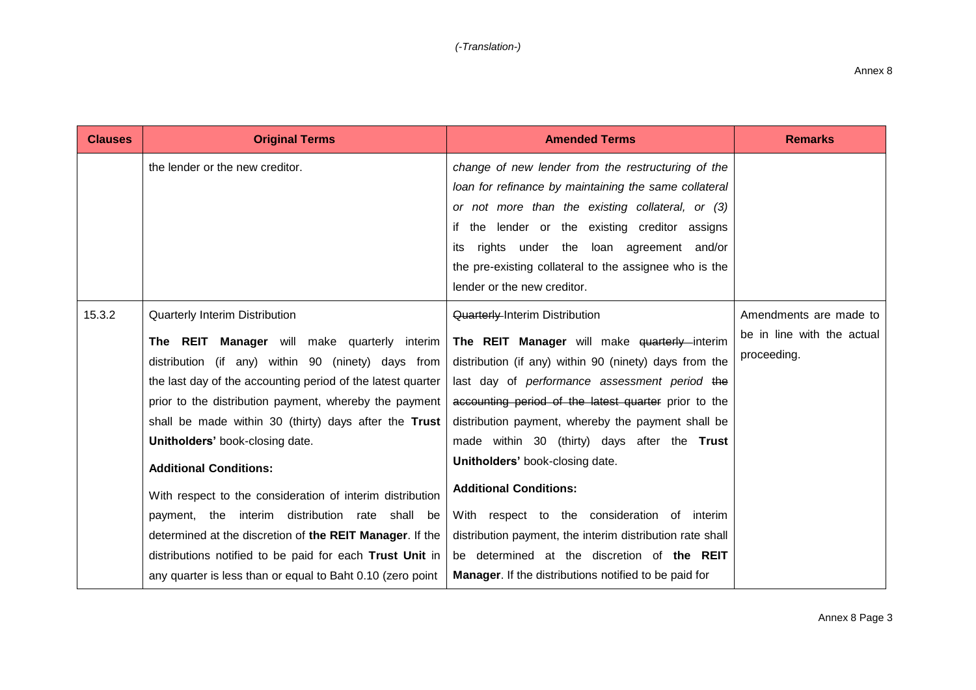| <b>Clauses</b> | <b>Original Terms</b>                                       | <b>Amended Terms</b>                                      | <b>Remarks</b>             |
|----------------|-------------------------------------------------------------|-----------------------------------------------------------|----------------------------|
|                | the lender or the new creditor.                             | change of new lender from the restructuring of the        |                            |
|                |                                                             | loan for refinance by maintaining the same collateral     |                            |
|                |                                                             | or not more than the existing collateral, or (3)          |                            |
|                |                                                             | if the lender or the existing creditor assigns            |                            |
|                |                                                             | rights under the loan agreement and/or<br>its             |                            |
|                |                                                             | the pre-existing collateral to the assignee who is the    |                            |
|                |                                                             | lender or the new creditor.                               |                            |
| 15.3.2         | Quarterly Interim Distribution                              | <b>Quarterly-Interim Distribution</b>                     | Amendments are made to     |
|                | The REIT Manager will make quarterly interim                | The REIT Manager will make quarterly interim              | be in line with the actual |
|                | distribution (if any) within 90 (ninety) days from          | distribution (if any) within 90 (ninety) days from the    | proceeding.                |
|                | the last day of the accounting period of the latest quarter | last day of performance assessment period the             |                            |
|                | prior to the distribution payment, whereby the payment      | accounting period of the latest quarter prior to the      |                            |
|                | shall be made within 30 (thirty) days after the Trust       | distribution payment, whereby the payment shall be        |                            |
|                | Unitholders' book-closing date.                             | made within 30 (thirty) days after the Trust              |                            |
|                | <b>Additional Conditions:</b>                               | Unitholders' book-closing date.                           |                            |
|                | With respect to the consideration of interim distribution   | <b>Additional Conditions:</b>                             |                            |
|                | payment, the interim distribution rate shall be             | With respect to the consideration of interim              |                            |
|                | determined at the discretion of the REIT Manager. If the    | distribution payment, the interim distribution rate shall |                            |
|                | distributions notified to be paid for each Trust Unit in    | be determined at the discretion of the REIT               |                            |
|                | any quarter is less than or equal to Baht 0.10 (zero point  | Manager. If the distributions notified to be paid for     |                            |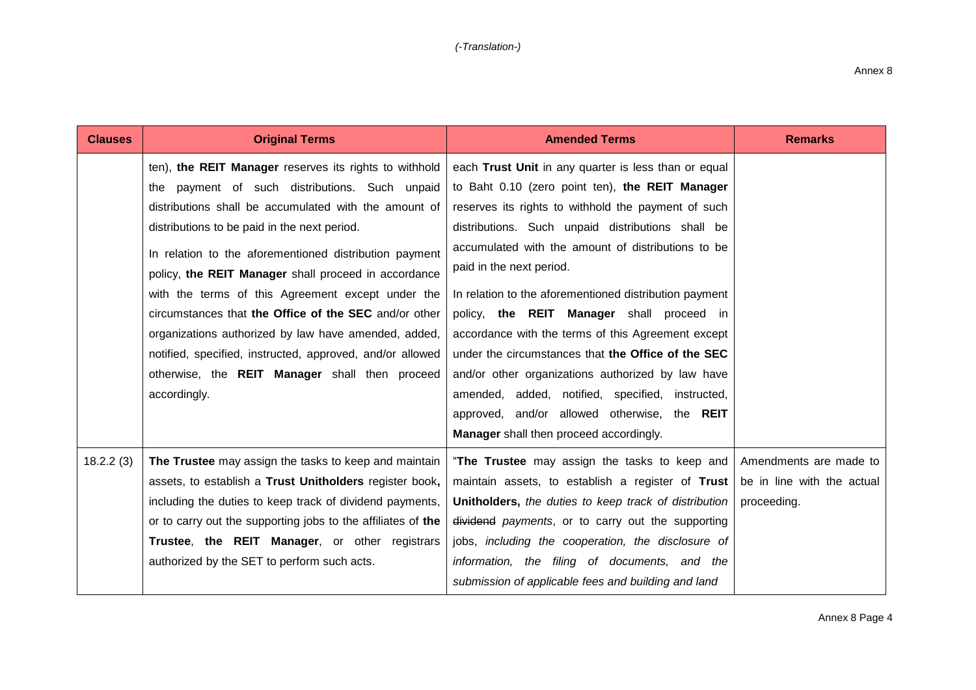| <b>Clauses</b> | <b>Original Terms</b>                                                                                                                                                                                                                                                                                                                                                                                                                                                                                                                                                                                                                    | <b>Amended Terms</b>                                                                                                                                                                                                                                                                                                                                                                                                                                                                                                                                                                                                                                                                                                         | <b>Remarks</b>                                                      |
|----------------|------------------------------------------------------------------------------------------------------------------------------------------------------------------------------------------------------------------------------------------------------------------------------------------------------------------------------------------------------------------------------------------------------------------------------------------------------------------------------------------------------------------------------------------------------------------------------------------------------------------------------------------|------------------------------------------------------------------------------------------------------------------------------------------------------------------------------------------------------------------------------------------------------------------------------------------------------------------------------------------------------------------------------------------------------------------------------------------------------------------------------------------------------------------------------------------------------------------------------------------------------------------------------------------------------------------------------------------------------------------------------|---------------------------------------------------------------------|
|                | ten), the REIT Manager reserves its rights to withhold<br>the payment of such distributions. Such unpaid<br>distributions shall be accumulated with the amount of<br>distributions to be paid in the next period.<br>In relation to the aforementioned distribution payment<br>policy, the REIT Manager shall proceed in accordance<br>with the terms of this Agreement except under the<br>circumstances that the Office of the SEC and/or other<br>organizations authorized by law have amended, added,<br>notified, specified, instructed, approved, and/or allowed<br>otherwise, the REIT Manager shall then proceed<br>accordingly. | each Trust Unit in any quarter is less than or equal<br>to Baht 0.10 (zero point ten), the REIT Manager<br>reserves its rights to withhold the payment of such<br>distributions. Such unpaid distributions shall be<br>accumulated with the amount of distributions to be<br>paid in the next period.<br>In relation to the aforementioned distribution payment<br>policy, the REIT Manager shall proceed in<br>accordance with the terms of this Agreement except<br>under the circumstances that the Office of the SEC<br>and/or other organizations authorized by law have<br>amended, added, notified, specified, instructed,<br>approved, and/or allowed otherwise, the REIT<br>Manager shall then proceed accordingly. |                                                                     |
| 18.2.2(3)      | The Trustee may assign the tasks to keep and maintain<br>assets, to establish a Trust Unitholders register book,<br>including the duties to keep track of dividend payments,<br>or to carry out the supporting jobs to the affiliates of the<br>Trustee, the REIT Manager, or other registrars<br>authorized by the SET to perform such acts.                                                                                                                                                                                                                                                                                            | "The Trustee may assign the tasks to keep and<br>maintain assets, to establish a register of Trust<br>Unitholders, the duties to keep track of distribution<br>dividend payments, or to carry out the supporting<br>jobs, including the cooperation, the disclosure of<br>information, the filing of documents, and the<br>submission of applicable fees and building and land                                                                                                                                                                                                                                                                                                                                               | Amendments are made to<br>be in line with the actual<br>proceeding. |